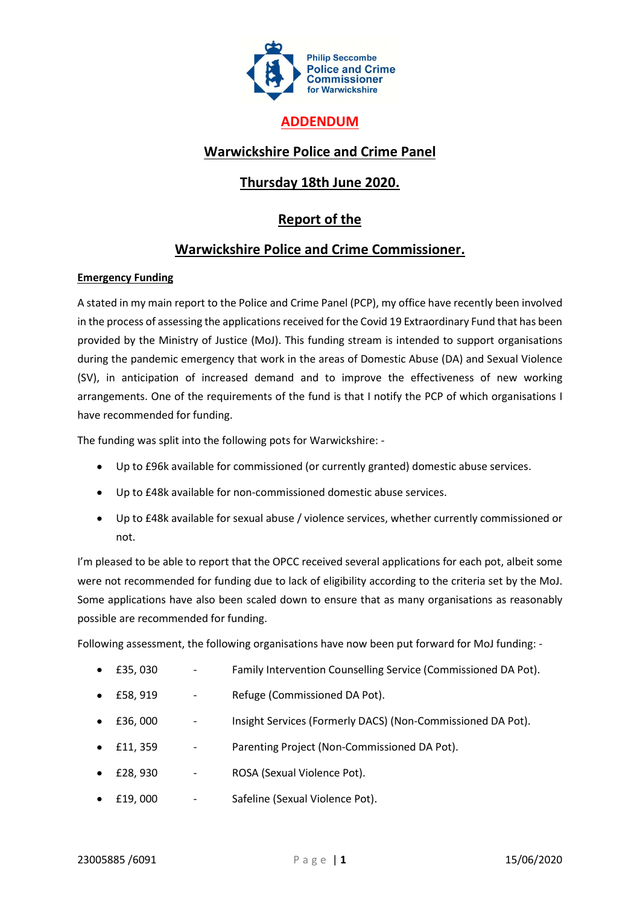

### ADDENDUM

## Warwickshire Police and Crime Panel

# Thursday 18th June 2020.

## Report of the

#### Warwickshire Police and Crime Commissioner.

#### Emergency Funding

A stated in my main report to the Police and Crime Panel (PCP), my office have recently been involved in the process of assessing the applications received for the Covid 19 Extraordinary Fund that has been provided by the Ministry of Justice (MoJ). This funding stream is intended to support organisations during the pandemic emergency that work in the areas of Domestic Abuse (DA) and Sexual Violence (SV), in anticipation of increased demand and to improve the effectiveness of new working arrangements. One of the requirements of the fund is that I notify the PCP of which organisations I have recommended for funding.

The funding was split into the following pots for Warwickshire: -

- Up to £96k available for commissioned (or currently granted) domestic abuse services.
- Up to £48k available for non-commissioned domestic abuse services.
- Up to £48k available for sexual abuse / violence services, whether currently commissioned or not.

I'm pleased to be able to report that the OPCC received several applications for each pot, albeit some were not recommended for funding due to lack of eligibility according to the criteria set by the MoJ. Some applications have also been scaled down to ensure that as many organisations as reasonably possible are recommended for funding.

Following assessment, the following organisations have now been put forward for MoJ funding: -

- £35, 030 Family Intervention Counselling Service (Commissioned DA Pot).
- £58, 919 Refuge (Commissioned DA Pot).
- £36, 000 Insight Services (Formerly DACS) (Non-Commissioned DA Pot).
- £11, 359 Parenting Project (Non-Commissioned DA Pot).
- £28, 930 ROSA (Sexual Violence Pot).
- £19, 000 Safeline (Sexual Violence Pot).